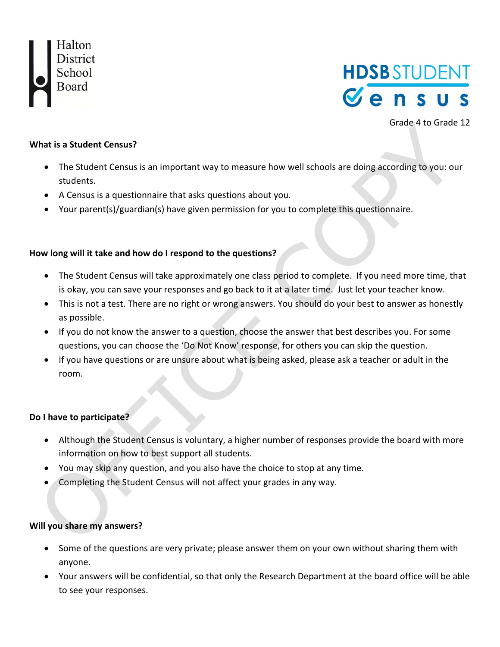



Grade 4 to Grade 12

#### **What is a Student Census?**

- The Student Census is an important way to measure how well schools are doing according to you: our students.
- A Census is a questionnaire that asks questions about you.
- Your parent(s)/guardian(s) have given permission for you to complete this questionnaire.

#### **How long will it take and how do I respond to the questions?**

- The Student Census will take approximately one class period to complete. If you need more time, that is okay, you can save your responses and go back to it at a later time. Just let your teacher know.
- This is not a test. There are no right or wrong answers. You should do your best to answer as honestly as possible.
- If you do not know the answer to a question, choose the answer that best describes you. For some questions, you can choose the 'Do Not Know' response, for others you can skip the question.
- If you have questions or are unsure about what is being asked, please ask a teacher or adult in the room.

#### **Do I have to participate?**

- Although the Student Census is voluntary, a higher number of responses provide the board with more information on how to best support all students.
- You may skip any question, and you also have the choice to stop at any time.
- Completing the Student Census will not affect your grades in any way.

#### **Will you share my answers?**

- Some of the questions are very private; please answer them on your own without sharing them with anyone.
- Your answers will be confidential, so that only the Research Department at the board office will be able to see your responses.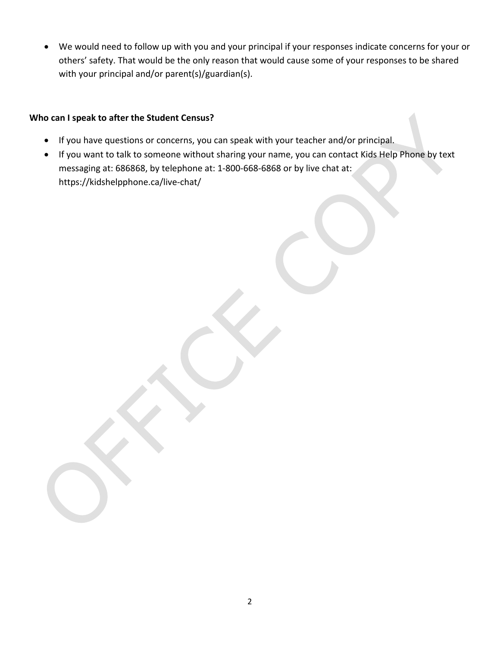We would need to follow up with you and your principal if your responses indicate concerns for your or others' safety. That would be the only reason that would cause some of your responses to be shared with your principal and/or parent(s)/guardian(s).

#### **Who can I speak to after the Student Census?**

- If you have questions or concerns, you can speak with your teacher and/or principal.
- If you want to talk to someone without sharing your name, you can contact Kids Help Phone by text messaging at: 686868, by telephone at: 1‐800‐668‐6868 or by live chat at: https://kidshelpphone.ca/live‐chat/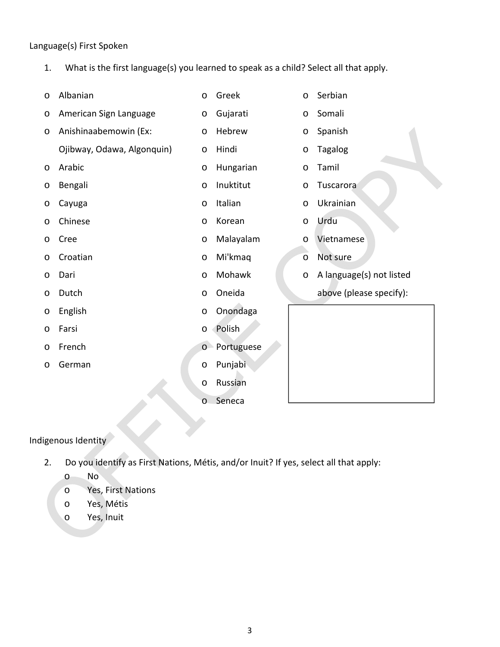#### Language(s) First Spoken

1. What is the first language(s) you learned to speak as a child? Select all that apply.

| $\circ$ | Albanian                   | $\circ$ | Greek      | $\circ$ | Serbian                  |
|---------|----------------------------|---------|------------|---------|--------------------------|
| $\circ$ | American Sign Language     | $\circ$ | Gujarati   | $\circ$ | Somali                   |
| $\circ$ | Anishinaabemowin (Ex:      | $\circ$ | Hebrew     | $\circ$ | Spanish                  |
|         | Ojibway, Odawa, Algonquin) | $\circ$ | Hindi      | $\circ$ | Tagalog                  |
| $\circ$ | Arabic                     | $\circ$ | Hungarian  | $\circ$ | Tamil                    |
| $\circ$ | Bengali                    | $\circ$ | Inuktitut  | $\circ$ | Tuscarora                |
| O       | Cayuga                     | $\circ$ | Italian    | $\circ$ | Ukrainian                |
| $\circ$ | Chinese                    | $\circ$ | Korean     | $\circ$ | Urdu                     |
| $\circ$ | Cree                       | $\circ$ | Malayalam  | $\circ$ | Vietnamese               |
| $\circ$ | Croatian                   | $\circ$ | Mi'kmaq    | $\circ$ | Not sure                 |
| $\circ$ | Dari                       | $\circ$ | Mohawk     | $\circ$ | A language(s) not listed |
| $\circ$ | Dutch                      | $\circ$ | Oneida     |         | above (please specify):  |
| $\circ$ | English                    | $\circ$ | Onondaga   |         |                          |
| $\circ$ | Farsi                      | $\circ$ | Polish     |         |                          |
| $\circ$ | French                     | $\circ$ | Portuguese |         |                          |
| $\circ$ | German                     | $\circ$ | Punjabi    |         |                          |
|         |                            | $\circ$ | Russian    |         |                          |
|         |                            | $\circ$ | Seneca     |         |                          |

## Indigenous Identity

2. Do you identify as First Nations, Métis, and/or Inuit? If yes, select all that apply:

o No

- o Yes, First Nations
- o Yes, Métis
- o Yes, Inuit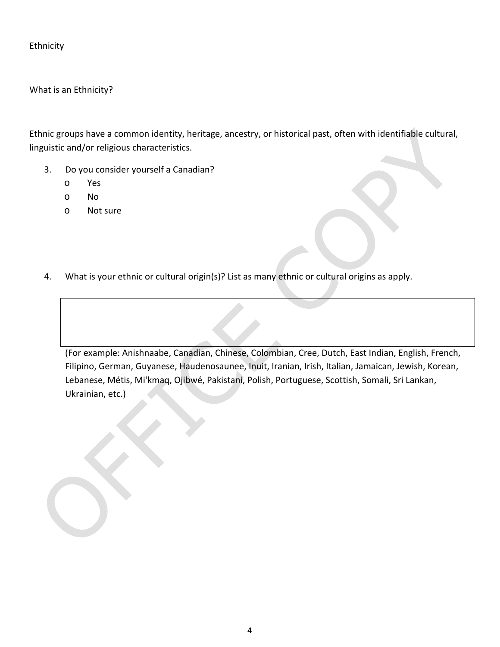Ethnicity

What is an Ethnicity?

Ethnic groups have a common identity, heritage, ancestry, or historical past, often with identifiable cultural, linguistic and/or religious characteristics.

- 3. Do you consider yourself a Canadian?
	- o Yes
	- o No
	- o Not sure

4. What is your ethnic or cultural origin(s)? List as many ethnic or cultural origins as apply.

(For example: Anishnaabe, Canadian, Chinese, Colombian, Cree, Dutch, East Indian, English, French, Filipino, German, Guyanese, Haudenosaunee, Inuit, Iranian, Irish, Italian, Jamaican, Jewish, Korean, Lebanese, Métis, Mi'kmaq, Ojibwé, Pakistani, Polish, Portuguese, Scottish, Somali, Sri Lankan, Ukrainian, etc.)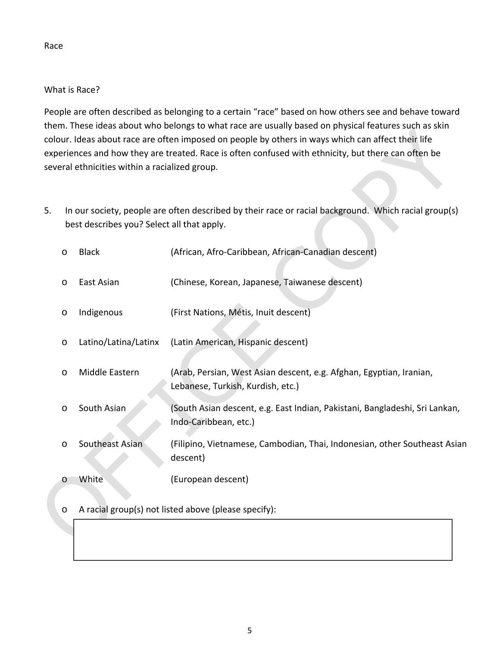# What is Race?

People are often described as belonging to a certain "race" based on how others see and behave toward them. These ideas about who belongs to what race are usually based on physical features such as skin colour. Ideas about race are often imposed on people by others in ways which can affect their life experiences and how they are treated. Race is often confused with ethnicity, but there can often be several ethnicities within a racialized group.

5. In our society, people are often described by their race or racial background. Which racial group(s) best describes you? Select all that apply.

| $\circ$ | <b>Black</b>         | (African, Afro-Caribbean, African-Canadian descent)                                                      |
|---------|----------------------|----------------------------------------------------------------------------------------------------------|
| $\circ$ | East Asian           | (Chinese, Korean, Japanese, Taiwanese descent)                                                           |
| $\circ$ | Indigenous           | (First Nations, Métis, Inuit descent)                                                                    |
| $\circ$ | Latino/Latina/Latinx | (Latin American, Hispanic descent)                                                                       |
| $\circ$ | Middle Eastern       | (Arab, Persian, West Asian descent, e.g. Afghan, Egyptian, Iranian,<br>Lebanese, Turkish, Kurdish, etc.) |
| $\circ$ | South Asian          | (South Asian descent, e.g. East Indian, Pakistani, Bangladeshi, Sri Lankan,<br>Indo-Caribbean, etc.)     |
| $\circ$ | Southeast Asian      | (Filipino, Vietnamese, Cambodian, Thai, Indonesian, other Southeast Asian<br>descent)                    |
| $\circ$ | White                | (European descent)                                                                                       |

## o A racial group(s) not listed above (please specify):

Race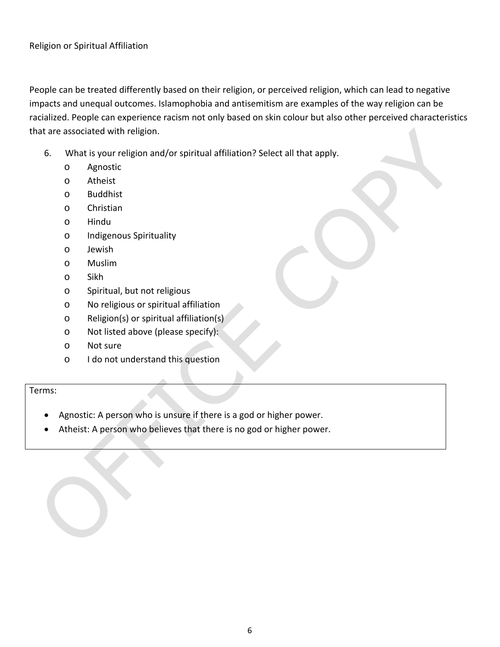People can be treated differently based on their religion, or perceived religion, which can lead to negative impacts and unequal outcomes. Islamophobia and antisemitism are examples of the way religion can be racialized. People can experience racism not only based on skin colour but also other perceived characteristics that are associated with religion.

- 6. What is your religion and/or spiritual affiliation? Select all that apply.
	- o Agnostic
	- o Atheist
	- o Buddhist
	- o Christian
	- o Hindu
	- o Indigenous Spirituality
	- o Jewish
	- o Muslim
	- o Sikh
	- o Spiritual, but not religious
	- o No religious or spiritual affiliation
	- o Religion(s) or spiritual affiliation(s)
	- o Not listed above (please specify):
	- o Not sure
	- o I do not understand this question

Terms:

- Agnostic: A person who is unsure if there is a god or higher power.
- Atheist: A person who believes that there is no god or higher power.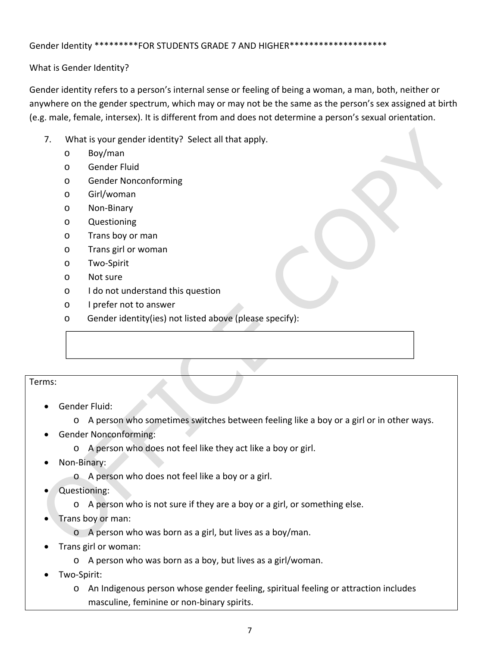#### Gender Identity \*\*\*\*\*\*\*\*\*\*FOR STUDENTS GRADE 7 AND HIGHER\*\*\*\*\*\*\*\*\*\*\*\*\*\*\*\*\*\*

What is Gender Identity?

Gender identity refers to a person's internal sense or feeling of being a woman, a man, both, neither or anywhere on the gender spectrum, which may or may not be the same as the person's sex assigned at birth (e.g. male, female, intersex). It is different from and does not determine a person's sexual orientation.

- 7. What is your gender identity? Select all that apply.
	- o Boy/man
	- o Gender Fluid
	- o Gender Nonconforming
	- o Girl/woman
	- o Non‐Binary
	- o Questioning
	- o Trans boy or man
	- o Trans girl or woman
	- o Two‐Spirit
	- o Not sure
	- o I do not understand this question
	- o I prefer not to answer
	- o Gender identity(ies) not listed above (please specify):

#### Terms:

- Gender Fluid:
	- o A person who sometimes switches between feeling like a boy or a girl or in other ways.
- Gender Nonconforming:
	- o A person who does not feel like they act like a boy or girl.
- Non‐Binary:
	- o A person who does not feel like a boy or a girl.
- Questioning:
	- o A person who is not sure if they are a boy or a girl, or something else.
- Trans boy or man:
	- o A person who was born as a girl, but lives as a boy/man.
- Trans girl or woman:
	- o A person who was born as a boy, but lives as a girl/woman.
- Two‐Spirit:
	- o An Indigenous person whose gender feeling, spiritual feeling or attraction includes masculine, feminine or non‐binary spirits.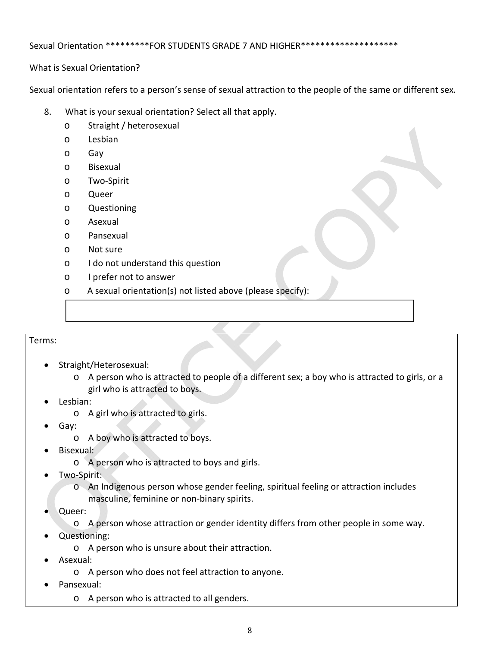#### Sexual Orientation \*\*\*\*\*\*\*\*\*FOR STUDENTS GRADE 7 AND HIGHER\*\*\*\*\*\*\*\*\*\*\*\*\*\*\*\*\*\*\*\*

What is Sexual Orientation?

Sexual orientation refers to a person's sense of sexual attraction to the people of the same or different sex.

- 8. What is your sexual orientation? Select all that apply.
	- o Straight / heterosexual
	- o Lesbian
	- o Gay
	- o Bisexual
	- o Two‐Spirit
	- o Queer
	- o Questioning
	- o Asexual
	- o Pansexual
	- o Not sure
	- o I do not understand this question
	- o I prefer not to answer
	- o A sexual orientation(s) not listed above (please specify):

#### Terms:

- Straight/Heterosexual:
	- o A person who is attracted to people of a different sex; a boy who is attracted to girls, or a girl who is attracted to boys.
- Lesbian:
	- o A girl who is attracted to girls.
- Gay:
	- o A boy who is attracted to boys.
- Bisexual:
	- o A person who is attracted to boys and girls.
- Two‐Spirit:
	- o An Indigenous person whose gender feeling, spiritual feeling or attraction includes masculine, feminine or non‐binary spirits.
- Queer:
	- o A person whose attraction or gender identity differs from other people in some way.
- Questioning:
	- o A person who is unsure about their attraction.
- Asexual:
	- o A person who does not feel attraction to anyone.
- Pansexual:
	- o A person who is attracted to all genders.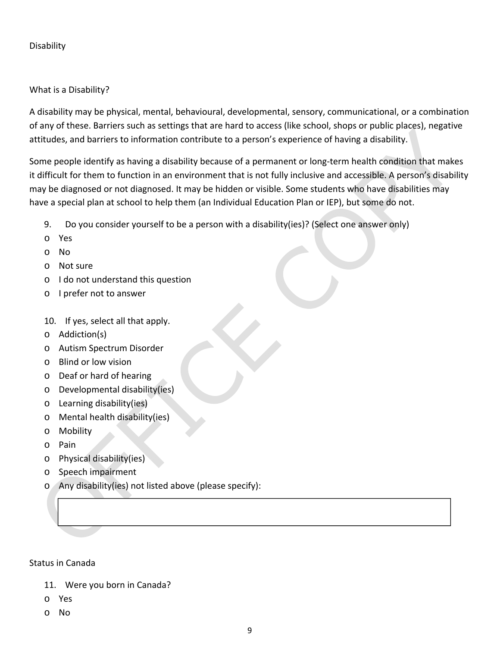#### Disability

#### What is a Disability?

A disability may be physical, mental, behavioural, developmental, sensory, communicational, or a combination of any of these. Barriers such as settings that are hard to access (like school, shops or public places), negative attitudes, and barriers to information contribute to a person's experience of having a disability.

Some people identify as having a disability because of a permanent or long-term health condition that makes it difficult for them to function in an environment that is not fully inclusive and accessible. A person's disability may be diagnosed or not diagnosed. It may be hidden or visible. Some students who have disabilities may have a special plan at school to help them (an Individual Education Plan or IEP), but some do not.

- 9. Do you consider yourself to be a person with a disability(ies)? (Select one answer only)
- o Yes
- o No
- o Not sure
- o I do not understand this question
- o I prefer not to answer
- 10. If yes, select all that apply.
- o Addiction(s)
- o Autism Spectrum Disorder
- o Blind or low vision
- o Deaf or hard of hearing
- o Developmental disability(ies)
- o Learning disability(ies)
- o Mental health disability(ies)
- o Mobility
- o Pain
- o Physical disability(ies)
- o Speech impairment
- o Any disability(ies) not listed above (please specify):

#### Status in Canada

- 11. Were you born in Canada?
- o Yes
- o No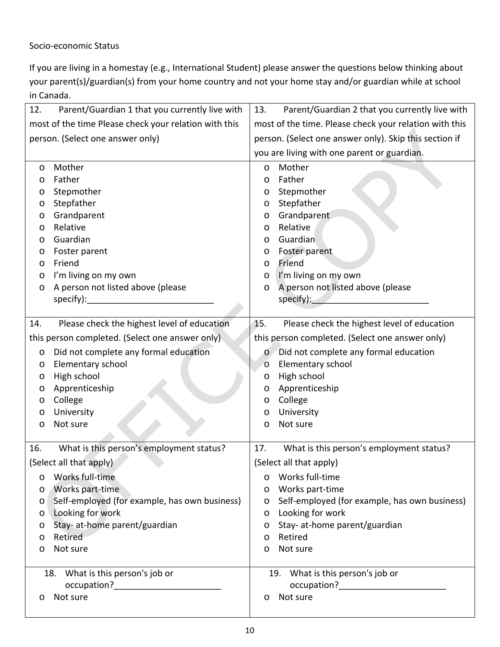#### Socio‐economic Status

If you are living in a homestay (e.g., International Student) please answer the questions below thinking about your parent(s)/guardian(s) from your home country and not your home stay and/or guardian while at school in Canada.

| 12.     | Parent/Guardian 1 that you currently live with        | 13.     | Parent/Guardian 2 that you currently live with         |
|---------|-------------------------------------------------------|---------|--------------------------------------------------------|
|         | most of the time Please check your relation with this |         | most of the time. Please check your relation with this |
|         | person. (Select one answer only)                      |         | person. (Select one answer only). Skip this section if |
|         |                                                       |         | you are living with one parent or guardian.            |
| O       | Mother                                                | $\circ$ | Mother                                                 |
| O       | Father                                                | O       | Father                                                 |
| O       | Stepmother                                            | $\circ$ | Stepmother                                             |
| O       | Stepfather                                            | $\circ$ | Stepfather                                             |
| O       | Grandparent                                           | $\circ$ | Grandparent                                            |
| O       | Relative                                              | $\circ$ | Relative                                               |
| O       | Guardian                                              | O       | Guardian                                               |
| O       | Foster parent                                         | O       | Foster parent                                          |
| O       | Friend                                                | O       | Friend                                                 |
| O       | I'm living on my own                                  | O       | I'm living on my own                                   |
| O       | A person not listed above (please                     | O       | A person not listed above (please                      |
|         | specify):                                             |         | specify):                                              |
|         |                                                       |         |                                                        |
| 14.     | Please check the highest level of education           | 15.     | Please check the highest level of education            |
|         | this person completed. (Select one answer only)       |         | this person completed. (Select one answer only)        |
| O       | Did not complete any formal education                 | $\circ$ | Did not complete any formal education                  |
| O       | Elementary school                                     | $\circ$ | Elementary school                                      |
| O       | High school                                           | O       | High school                                            |
| O       | Apprenticeship                                        | O       | Apprenticeship                                         |
| O       | College                                               | $\circ$ | College                                                |
| O       | University                                            | $\circ$ | University                                             |
| $\circ$ | Not sure                                              | $\circ$ | Not sure                                               |
|         |                                                       |         |                                                        |
| 16.     | What is this person's employment status?              | 17.     | What is this person's employment status?               |
|         | (Select all that apply)                               |         | (Select all that apply)                                |
| O       | Works full-time                                       | $\circ$ | Works full-time                                        |
| O       | Works part-time                                       | O       | Works part-time                                        |
| O       | Self-employed (for example, has own business)         | $\circ$ | Self-employed (for example, has own business)          |
| O       | Looking for work                                      | O       | Looking for work                                       |
| O       | Stay- at-home parent/guardian                         | $\circ$ | Stay- at-home parent/guardian                          |
| O       | Retired                                               | O       | Retired                                                |
| O       | Not sure                                              | $\circ$ | Not sure                                               |
|         |                                                       |         |                                                        |
|         | What is this person's job or<br>18.                   |         | 19. What is this person's job or                       |
|         | Not sure                                              |         | Not sure                                               |
| O       |                                                       | O       |                                                        |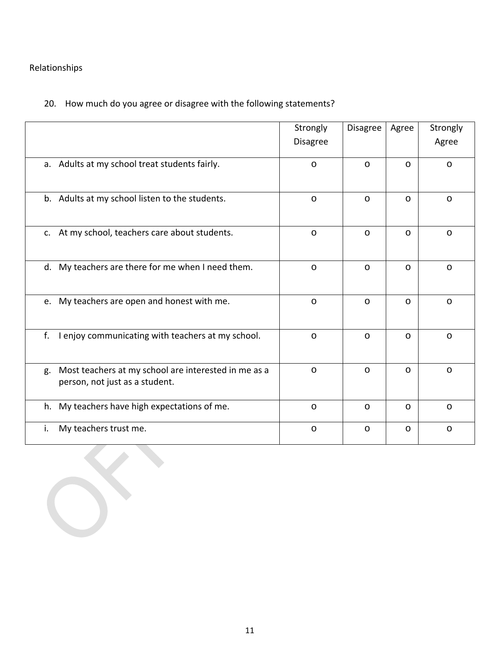## Relationships

## 20. How much do you agree or disagree with the following statements?

|                                                                                              | Strongly<br><b>Disagree</b> | Disagree | Agree   | Strongly<br>Agree |
|----------------------------------------------------------------------------------------------|-----------------------------|----------|---------|-------------------|
| a. Adults at my school treat students fairly.                                                | $\circ$                     | $\circ$  | $\circ$ | $\circ$           |
| b. Adults at my school listen to the students.                                               | $\circ$                     | $\circ$  | $\circ$ | $\circ$           |
| c. At my school, teachers care about students.                                               | $\circ$                     | $\circ$  | $\circ$ | $\circ$           |
| d. My teachers are there for me when I need them.                                            | $\circ$                     | $\circ$  | O       | $\circ$           |
| e. My teachers are open and honest with me.                                                  | $\circ$                     | $\circ$  | $\circ$ | $\circ$           |
| f. I enjoy communicating with teachers at my school.                                         | $\circ$                     | $\circ$  | $\circ$ | $\circ$           |
| Most teachers at my school are interested in me as a<br>g.<br>person, not just as a student. | $\circ$                     | $\circ$  | O       | $\circ$           |
| h. My teachers have high expectations of me.                                                 | $\circ$                     | $\circ$  | O       | $\circ$           |
| My teachers trust me.<br>i.                                                                  | $\circ$                     | $\circ$  | O       | $\circ$           |
|                                                                                              |                             |          |         |                   |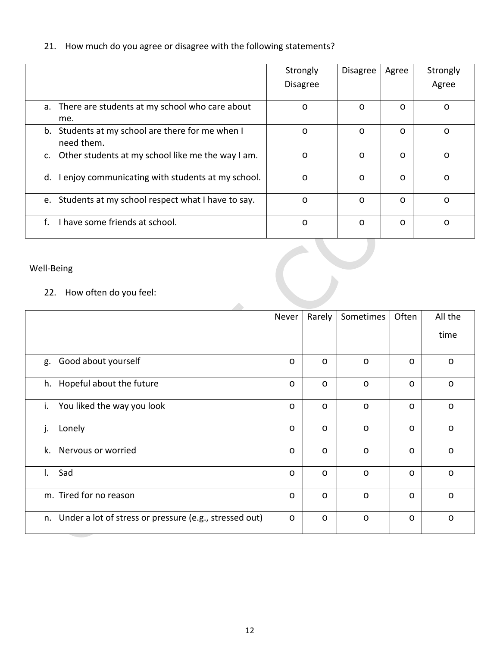21. How much do you agree or disagree with the following statements?

|                                                                   | Strongly<br><b>Disagree</b> | <b>Disagree</b> | Agree   | Strongly<br>Agree |
|-------------------------------------------------------------------|-----------------------------|-----------------|---------|-------------------|
| a. There are students at my school who care about<br>me.          | $\circ$                     | $\circ$         | $\circ$ | $\circ$           |
| Students at my school are there for me when I<br>b.<br>need them. | $\circ$                     | $\circ$         | O       | $\circ$           |
| Other students at my school like me the way I am.<br>C.           | $\circ$                     | $\circ$         | $\circ$ | $\circ$           |
| d. I enjoy communicating with students at my school.              | $\circ$                     | $\circ$         | $\circ$ | $\circ$           |
| Students at my school respect what I have to say.<br>e.           | $\circ$                     | $\circ$         | O       | $\circ$           |
| I have some friends at school.<br>f.                              | O                           | $\circ$         | $\circ$ | $\circ$           |

## Well‐Being

## 22. How often do you feel:

| Well-Being<br>22. How often do you feel:                  |         |         |           |         |         |
|-----------------------------------------------------------|---------|---------|-----------|---------|---------|
|                                                           | Never   | Rarely  | Sometimes | Often   | All the |
|                                                           |         |         |           |         | time    |
| g. Good about yourself                                    | $\circ$ | $\circ$ | $\circ$   | $\circ$ | $\circ$ |
| h. Hopeful about the future                               | $\circ$ | $\circ$ | $\circ$   | $\circ$ | $\circ$ |
| You liked the way you look<br>i.                          | $\circ$ | $\circ$ | $\circ$   | $\circ$ | $\circ$ |
| j.<br>Lonely                                              | $\circ$ | $\circ$ | $\circ$   | $\circ$ | $\circ$ |
| k. Nervous or worried                                     | $\circ$ | $\circ$ | $\circ$   | $\circ$ | $\circ$ |
| Sad<br>$\mathsf{L}$                                       | $\circ$ | $\circ$ | $\circ$   | $\circ$ | $\circ$ |
| m. Tired for no reason                                    | $\circ$ | $\circ$ | $\circ$   | $\circ$ | $\circ$ |
| n. Under a lot of stress or pressure (e.g., stressed out) | $\circ$ | $\circ$ | $\circ$   | $\circ$ | $\circ$ |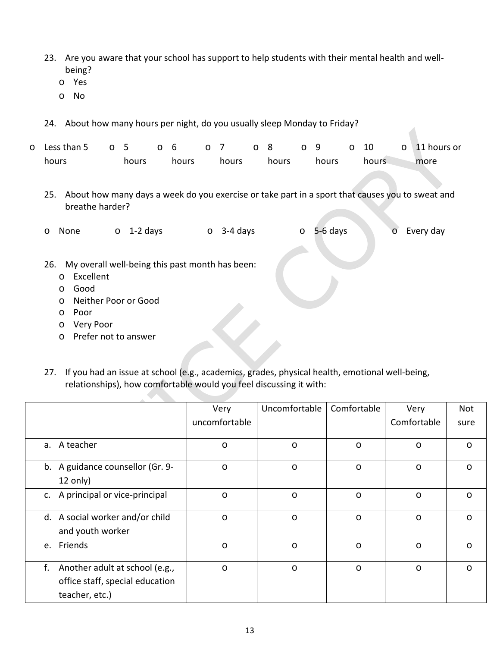- 23. Are you aware that your school has support to help students with their mental health and wellbeing?
	- o Yes
	- o No
- 24. About how many hours per night, do you usually sleep Monday to Friday?

| o Less than $5$ o $5$ o $6$ |       |       |       | 07 08 09 |       | $\circ$ 10 | $\circ$ 11 hours or |
|-----------------------------|-------|-------|-------|----------|-------|------------|---------------------|
| hours                       | hours | hours | hours | hours    | hours | hours      | more                |

25. About how many days a week do you exercise or take part in a sport that causes you to sweat and breathe harder?

o None o 1-2 days o 3-4 days o 5-6 days o Every day

- 26. My overall well-being this past month has been:
	- o Excellent
	- o Good
	- o Neither Poor or Good
	- o Poor
	- o Very Poor
	- o Prefer not to answer
- 27. If you had an issue at school (e.g., academics, grades, physical health, emotional well-being, relationships), how comfortable would you feel discussing it with:

|    |                                  | Very          | Uncomfortable | Comfortable | Very        | Not     |
|----|----------------------------------|---------------|---------------|-------------|-------------|---------|
|    |                                  | uncomfortable |               |             | Comfortable | sure    |
|    | a. A teacher                     | $\circ$       | $\circ$       | $\circ$     | $\circ$     | $\circ$ |
|    | b. A guidance counsellor (Gr. 9- | $\circ$       | $\circ$       | $\circ$     | $\circ$     | $\circ$ |
|    | $12$ only)                       |               |               |             |             |         |
|    | c. A principal or vice-principal | $\circ$       | $\circ$       | $\circ$     | $\circ$     | $\circ$ |
|    | d. A social worker and/or child  | $\circ$       | $\circ$       | $\circ$     | $\circ$     | $\circ$ |
|    | and youth worker                 |               |               |             |             |         |
|    | e. Friends                       | $\circ$       | O             | $\circ$     | O           | $\circ$ |
| f. | Another adult at school (e.g.,   | $\circ$       | $\circ$       | $\circ$     | $\circ$     | $\circ$ |
|    | office staff, special education  |               |               |             |             |         |
|    | teacher, etc.)                   |               |               |             |             |         |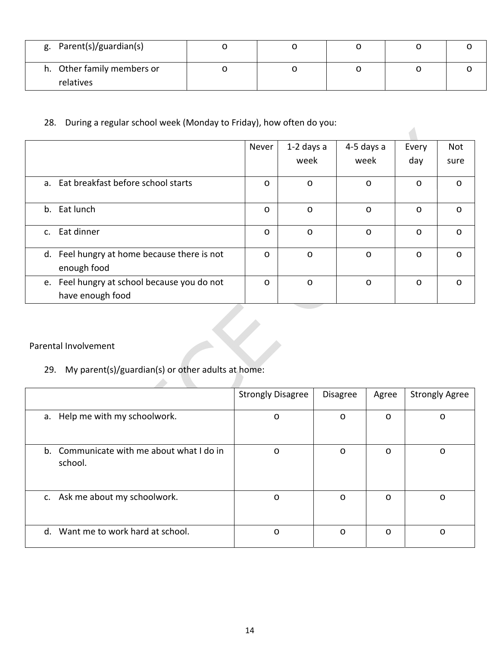| g. Parent(s)/guardian(s)   |  |  |  |
|----------------------------|--|--|--|
| h. Other family members or |  |  |  |
| relatives                  |  |  |  |

28. During a regular school week (Monday to Friday), how often do you:

|                                                                 | Never   | 1-2 days a | 4-5 days a | Every   | Not     |
|-----------------------------------------------------------------|---------|------------|------------|---------|---------|
|                                                                 |         | week       | week       | day     | sure    |
| a. Eat breakfast before school starts                           | $\circ$ | $\circ$    | $\circ$    | $\circ$ | $\circ$ |
| b. Eat lunch                                                    | $\circ$ | O          | $\circ$    | O       | $\circ$ |
| c. Eat dinner                                                   | $\circ$ | O          | $\circ$    | O       | $\circ$ |
| d. Feel hungry at home because there is not<br>enough food      | $\circ$ | $\circ$    | $\circ$    | $\circ$ | $\circ$ |
| e. Feel hungry at school because you do not<br>have enough food | $\circ$ | $\circ$    | $\circ$    | $\circ$ | $\circ$ |

#### Parental Involvement

## 29. My parent(s)/guardian(s) or other adults at home:

 $\mathcal{A}$ 

|                                                      | <b>Strongly Disagree</b> | <b>Disagree</b> | Agree   | <b>Strongly Agree</b> |
|------------------------------------------------------|--------------------------|-----------------|---------|-----------------------|
| a. Help me with my schoolwork.                       | O                        | $\circ$         | O       | O                     |
| b. Communicate with me about what I do in<br>school. | $\circ$                  | $\circ$         | $\circ$ | O                     |
| c. Ask me about my schoolwork.                       | $\circ$                  | $\circ$         | O       | O                     |
| d. Want me to work hard at school.                   | O                        | $\circ$         | O       | O                     |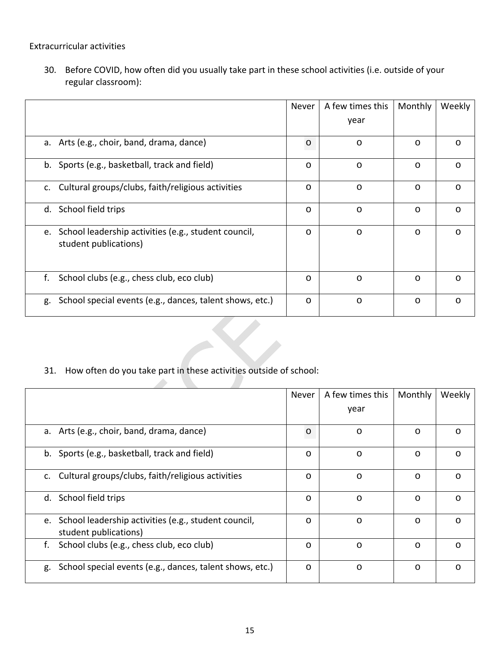Extracurricular activities

30. Before COVID, how often did you usually take part in these school activities (i.e. outside of your regular classroom):

|                                                                                     | Never   | A few times this | Monthly | Weekly  |
|-------------------------------------------------------------------------------------|---------|------------------|---------|---------|
|                                                                                     |         | year             |         |         |
| a. Arts (e.g., choir, band, drama, dance)                                           | $\circ$ | $\circ$          | $\circ$ | $\circ$ |
| b. Sports (e.g., basketball, track and field)                                       | $\circ$ | $\circ$          | $\circ$ | $\circ$ |
| c. Cultural groups/clubs, faith/religious activities                                | $\circ$ | $\circ$          | $\circ$ | $\circ$ |
| d. School field trips                                                               | $\circ$ | $\circ$          | $\circ$ | $\circ$ |
| School leadership activities (e.g., student council,<br>e.<br>student publications) | $\circ$ | $\circ$          | $\circ$ | $\circ$ |
| f.<br>School clubs (e.g., chess club, eco club)                                     | $\circ$ | $\circ$          | $\circ$ | $\circ$ |
| School special events (e.g., dances, talent shows, etc.)<br>g.                      | $\circ$ | $\circ$          | $\circ$ | $\circ$ |

## 31. How often do you take part in these activities outside of school:

A

|                                                                                     | Never   | A few times this | Monthly | Weekly  |
|-------------------------------------------------------------------------------------|---------|------------------|---------|---------|
|                                                                                     |         | year             |         |         |
| a. Arts (e.g., choir, band, drama, dance)                                           | $\circ$ | $\circ$          | $\circ$ | $\circ$ |
| b. Sports (e.g., basketball, track and field)                                       | $\circ$ | $\circ$          | $\circ$ | $\circ$ |
| c. Cultural groups/clubs, faith/religious activities                                | $\circ$ | $\circ$          | $\circ$ | $\circ$ |
| d. School field trips                                                               | $\circ$ | $\circ$          | $\circ$ | $\circ$ |
| School leadership activities (e.g., student council,<br>e.<br>student publications) | $\circ$ | $\circ$          | $\circ$ | $\circ$ |
| School clubs (e.g., chess club, eco club)<br>f.                                     | $\circ$ | $\circ$          | $\circ$ | $\circ$ |
| School special events (e.g., dances, talent shows, etc.)<br>g.                      | $\circ$ | $\circ$          | $\circ$ | $\circ$ |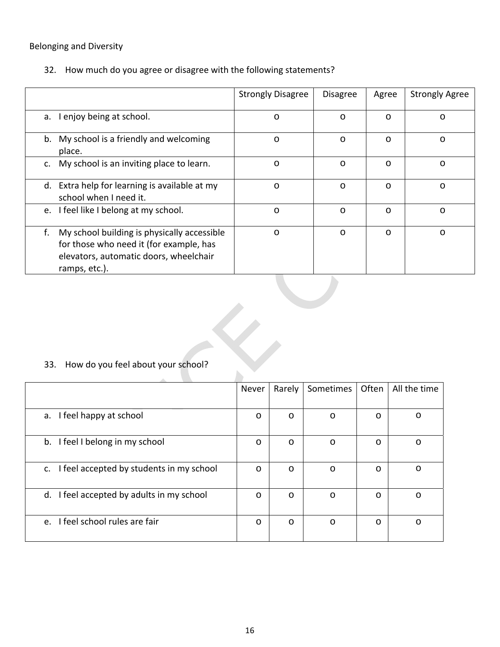### Belonging and Diversity

32. How much do you agree or disagree with the following statements?

|                                                                                                                                                         | <b>Strongly Disagree</b> | <b>Disagree</b> | Agree   | <b>Strongly Agree</b> |  |  |  |
|---------------------------------------------------------------------------------------------------------------------------------------------------------|--------------------------|-----------------|---------|-----------------------|--|--|--|
| I enjoy being at school.<br>a.                                                                                                                          | $\circ$                  | $\circ$         | $\circ$ | $\circ$               |  |  |  |
| b. My school is a friendly and welcoming<br>place.                                                                                                      | $\circ$                  | $\circ$         | $\circ$ | $\circ$               |  |  |  |
| My school is an inviting place to learn.<br>$c_{\cdot}$                                                                                                 | $\circ$                  | $\circ$         | $\circ$ | $\circ$               |  |  |  |
| d. Extra help for learning is available at my<br>school when I need it.                                                                                 | $\circ$                  | $\circ$         | $\circ$ | $\circ$               |  |  |  |
| I feel like I belong at my school.<br>e.                                                                                                                | $\circ$                  | $\circ$         | $\circ$ | $\circ$               |  |  |  |
| f.<br>My school building is physically accessible<br>for those who need it (for example, has<br>elevators, automatic doors, wheelchair<br>ramps, etc.). | $\circ$                  | $\circ$         | $\circ$ | $\circ$               |  |  |  |
| 33. How do you feel about your school?                                                                                                                  |                          |                 |         |                       |  |  |  |

## 33. How do you feel about your school?

| ---------                                      |         |         |           |         |              |
|------------------------------------------------|---------|---------|-----------|---------|--------------|
|                                                | Never   | Rarely  | Sometimes | Often   | All the time |
|                                                |         |         |           |         |              |
| I feel happy at school<br>а.                   | $\circ$ | $\circ$ | $\circ$   | O       | O            |
|                                                |         |         |           |         |              |
| b. I feel I belong in my school                | $\circ$ | $\circ$ | $\circ$   | O       | O            |
|                                                |         |         |           |         |              |
| I feel accepted by students in my school<br>c. | $\circ$ | $\circ$ | $\circ$   | O       | $\circ$      |
|                                                |         |         |           |         |              |
| I feel accepted by adults in my school<br>d.   | $\circ$ | $\circ$ | $\circ$   | $\circ$ | $\circ$      |
|                                                |         |         |           |         |              |
| e. I feel school rules are fair                | $\circ$ | $\circ$ | $\circ$   | $\circ$ | $\circ$      |
|                                                |         |         |           |         |              |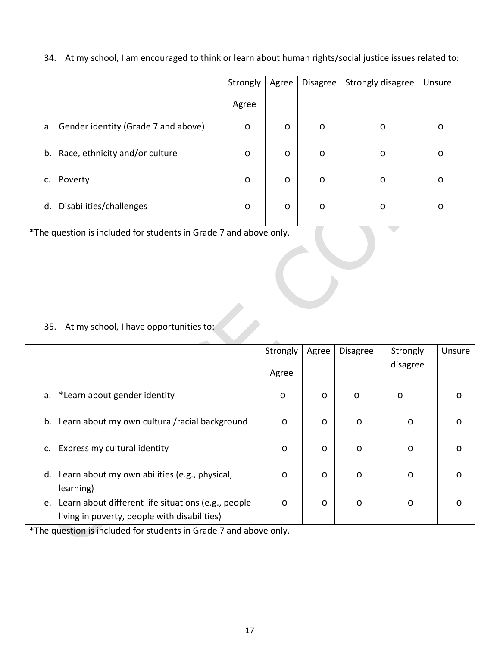|  |  |  | 34. At my school, I am encouraged to think or learn about human rights/social justice issues related to: |
|--|--|--|----------------------------------------------------------------------------------------------------------|
|--|--|--|----------------------------------------------------------------------------------------------------------|

|                                        | Strongly | Agree   | Disagree | Strongly disagree | Unsure  |
|----------------------------------------|----------|---------|----------|-------------------|---------|
|                                        | Agree    |         |          |                   |         |
| a. Gender identity (Grade 7 and above) | $\circ$  | $\circ$ | $\circ$  | $\circ$           | $\circ$ |
| b. Race, ethnicity and/or culture      | $\circ$  | $\circ$ | $\circ$  | $\circ$           | $\circ$ |
| c. Poverty                             | $\circ$  | $\circ$ | $\circ$  | $\circ$           | $\circ$ |
| d. Disabilities/challenges             | $\circ$  | $\circ$ | $\circ$  | $\circ$           | $\circ$ |

\*The question is included for students in Grade 7 and above only.

35. At my school, I have opportunities to:

|                                                                                                           | Strongly<br>Agree | Agree   | <b>Disagree</b> | Strongly<br>disagree | Unsure  |
|-----------------------------------------------------------------------------------------------------------|-------------------|---------|-----------------|----------------------|---------|
| a. *Learn about gender identity                                                                           | $\circ$           | O       | $\circ$         | O                    | $\circ$ |
| b. Learn about my own cultural/racial background                                                          | $\circ$           | O       | $\circ$         | $\circ$              | $\circ$ |
| c. Express my cultural identity                                                                           | $\circ$           | $\circ$ | $\circ$         | $\circ$              | $\circ$ |
| d. Learn about my own abilities (e.g., physical,<br>learning)                                             | $\circ$           | $\circ$ | $\circ$         | $\circ$              | $\circ$ |
| Learn about different life situations (e.g., people<br>e.<br>living in poverty, people with disabilities) | $\circ$           | $\circ$ | $\circ$         | $\circ$              | $\circ$ |

\*The question is included for students in Grade 7 and above only.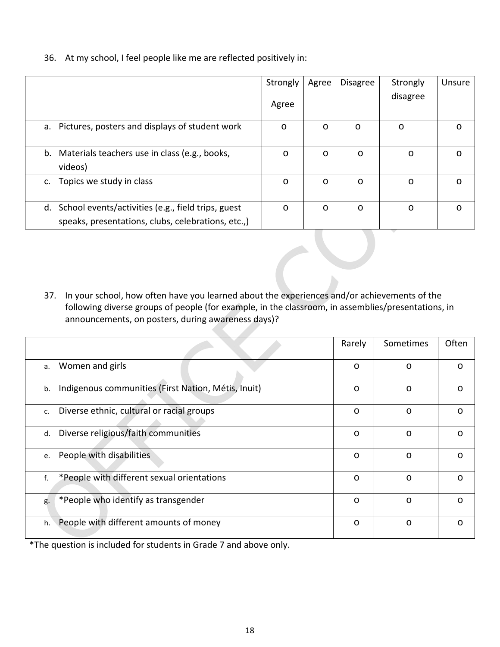36. At my school, I feel people like me are reflected positively in:

|                                                                                                             | Strongly | Agree   | <b>Disagree</b> | Strongly | Unsure  |
|-------------------------------------------------------------------------------------------------------------|----------|---------|-----------------|----------|---------|
|                                                                                                             | Agree    |         |                 | disagree |         |
| Pictures, posters and displays of student work<br>а.                                                        | $\circ$  | $\circ$ | $\circ$         | $\circ$  | $\circ$ |
| b. Materials teachers use in class (e.g., books,<br>videos)                                                 | $\circ$  | $\circ$ | $\circ$         | $\circ$  | $\circ$ |
| Topics we study in class<br>c.                                                                              | $\circ$  | $\circ$ | $\circ$         | $\circ$  | $\circ$ |
| d. School events/activities (e.g., field trips, guest<br>speaks, presentations, clubs, celebrations, etc.,) | $\circ$  | $\circ$ | $\circ$         | $\circ$  | $\circ$ |

37. In your school, how often have you learned about the experiences and/or achievements of the following diverse groups of people (for example, in the classroom, in assemblies/presentations, in announcements, on posters, during awareness days)?

|                                                           | Rarely  | Sometimes | Often   |
|-----------------------------------------------------------|---------|-----------|---------|
| Women and girls<br>a.                                     | O       | O         | O       |
| Indigenous communities (First Nation, Métis, Inuit)<br>b. | $\circ$ | $\circ$   | $\circ$ |
| Diverse ethnic, cultural or racial groups<br>c.           | $\circ$ | $\circ$   | O       |
| Diverse religious/faith communities<br>d.                 | O       | $\circ$   | $\circ$ |
| People with disabilities<br>e.                            | $\circ$ | $\circ$   | $\circ$ |
| *People with different sexual orientations<br>f.          | $\circ$ | $\circ$   | $\circ$ |
| *People who identify as transgender<br>g.                 | $\circ$ | $\circ$   | $\circ$ |
| People with different amounts of money<br>h.              | O       | O         | O       |

\*The question is included for students in Grade 7 and above only.